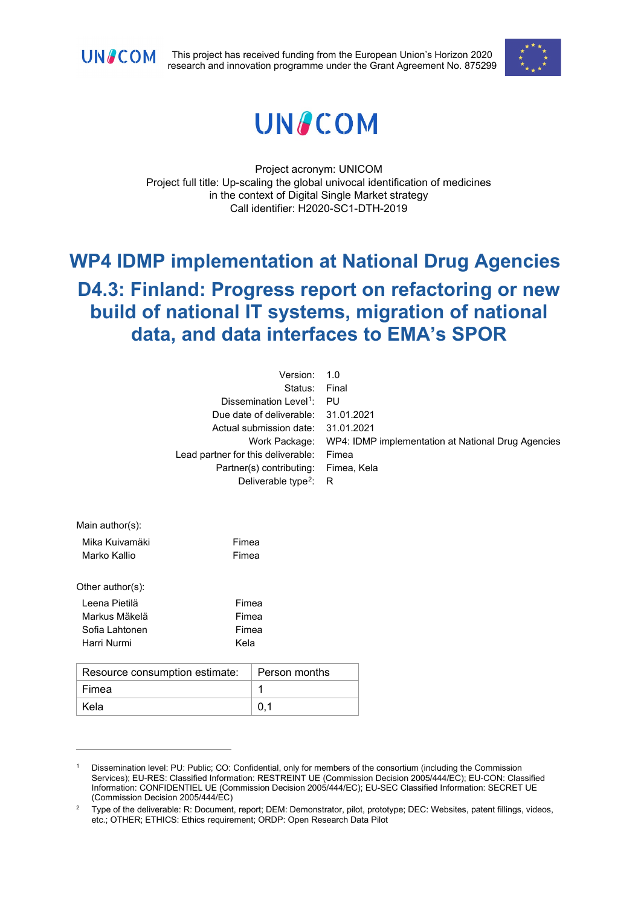

This project has received funding from the European Union's Horizon 2020 research and innovation programme under the Grant Agreement No. 875299





Project acronym: UNICOM Project full title: Up-scaling the global univocal identification of medicines in the context of Digital Single Market strategy Call identifier: H2020-SC1-DTH-2019

# **WP4 IDMP implementation at National Drug Agencies D4.3: Finland: Progress report on refactoring or new build of national IT systems, migration of national data, and data interfaces to EMA's SPOR**

| Version: 1.0                          |                                                                  |
|---------------------------------------|------------------------------------------------------------------|
| Status: Final                         |                                                                  |
| Dissemination Level <sup>1</sup> : PU |                                                                  |
| Due date of deliverable: 31.01.2021   |                                                                  |
| Actual submission date: 31.01.2021    |                                                                  |
|                                       | Work Package: WP4: IDMP implementation at National Drug Agencies |
| Lead partner for this deliverable:    | Fimea                                                            |
| Partner(s) contributing:              | Fimea, Kela                                                      |
| Deliverable type <sup>2</sup> : R     |                                                                  |

| Main author(s):  |       |
|------------------|-------|
| Mika Kuivamäki   | Fimea |
| Marko Kallio     | Fimea |
|                  |       |
| Other author(s): |       |
| I eena Pietilä   | Fimea |
| Markus Mäkelä    | Fimea |
| Sofia Lahtonen   | Fimea |
| Harri Nurmi      | Kela  |
|                  |       |

| Resource consumption estimate: | $\perp$ Person months |
|--------------------------------|-----------------------|
| Fimea                          |                       |
| Kela                           |                       |

<span id="page-0-0"></span><sup>1</sup> Dissemination level: PU: Public; CO: Confidential, only for members of the consortium (including the Commission Services); EU-RES: Classified Information: RESTREINT UE (Commission Decision 2005/444/EC); EU-CON: Classified Information: CONFIDENTIEL UE (Commission Decision 2005/444/EC); EU-SEC Classified Information: SECRET UE (Commission Decision 2005/444/EC)

<span id="page-0-1"></span><sup>2</sup> Type of the deliverable: R: Document, report; DEM: Demonstrator, pilot, prototype; DEC: Websites, patent fillings, videos, etc.; OTHER; ETHICS: Ethics requirement; ORDP: Open Research Data Pilot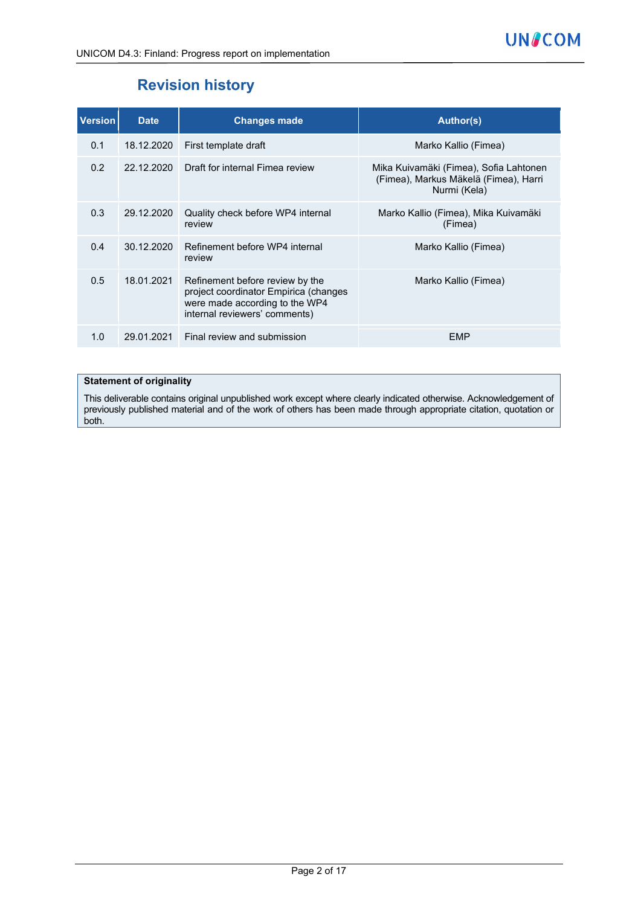# **Revision history**

| <b>Version</b> | <b>Date</b> | <b>Changes made</b>                                                                                                                         | <b>Author(s)</b>                                                                                |
|----------------|-------------|---------------------------------------------------------------------------------------------------------------------------------------------|-------------------------------------------------------------------------------------------------|
| 0.1            | 18.12.2020  | First template draft                                                                                                                        | Marko Kallio (Fimea)                                                                            |
| 0.2            | 22.12.2020  | Draft for internal Fimea review                                                                                                             | Mika Kuivamäki (Fimea), Sofia Lahtonen<br>(Fimea), Markus Mäkelä (Fimea), Harri<br>Nurmi (Kela) |
| 0.3            | 29.12.2020  | Quality check before WP4 internal<br>review                                                                                                 | Marko Kallio (Fimea), Mika Kuivamäki<br>(Fimea)                                                 |
| 0.4            | 30.12.2020  | Refinement before WP4 internal<br>review                                                                                                    | Marko Kallio (Fimea)                                                                            |
| 0.5            | 18.01.2021  | Refinement before review by the<br>project coordinator Empirica (changes<br>were made according to the WP4<br>internal reviewers' comments) | Marko Kallio (Fimea)                                                                            |
| 1.0            | 29.01.2021  | Final review and submission                                                                                                                 | EMP                                                                                             |

#### **Statement of originality**

This deliverable contains original unpublished work except where clearly indicated otherwise. Acknowledgement of previously published material and of the work of others has been made through appropriate citation, quotation or both.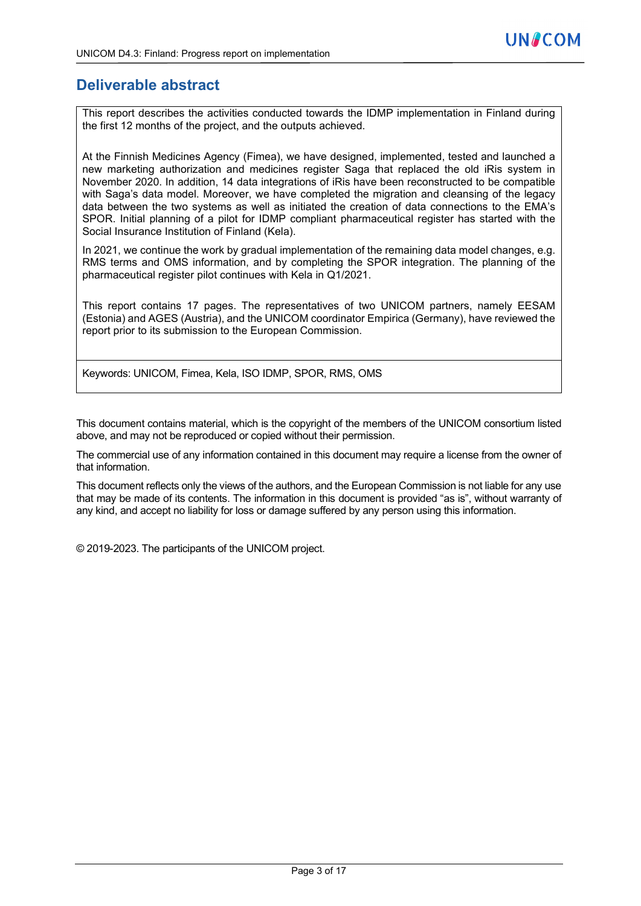## **Deliverable abstract**

This report describes the activities conducted towards the IDMP implementation in Finland during the first 12 months of the project, and the outputs achieved.

At the Finnish Medicines Agency (Fimea), we have designed, implemented, tested and launched a new marketing authorization and medicines register Saga that replaced the old iRis system in November 2020. In addition, 14 data integrations of iRis have been reconstructed to be compatible with Saga's data model. Moreover, we have completed the migration and cleansing of the legacy data between the two systems as well as initiated the creation of data connections to the EMA's SPOR. Initial planning of a pilot for IDMP compliant pharmaceutical register has started with the Social Insurance Institution of Finland (Kela).

In 2021, we continue the work by gradual implementation of the remaining data model changes, e.g. RMS terms and OMS information, and by completing the SPOR integration. The planning of the pharmaceutical register pilot continues with Kela in Q1/2021.

This report contains 17 pages. The representatives of two UNICOM partners, namely EESAM (Estonia) and AGES (Austria), and the UNICOM coordinator Empirica (Germany), have reviewed the report prior to its submission to the European Commission.

Keywords: UNICOM, Fimea, Kela, ISO IDMP, SPOR, RMS, OMS

This document contains material, which is the copyright of the members of the UNICOM consortium listed above, and may not be reproduced or copied without their permission.

The commercial use of any information contained in this document may require a license from the owner of that information.

This document reflects only the views of the authors, and the European Commission is not liable for any use that may be made of its contents. The information in this document is provided "as is", without warranty of any kind, and accept no liability for loss or damage suffered by any person using this information.

© 2019-2023. The participants of the UNICOM project.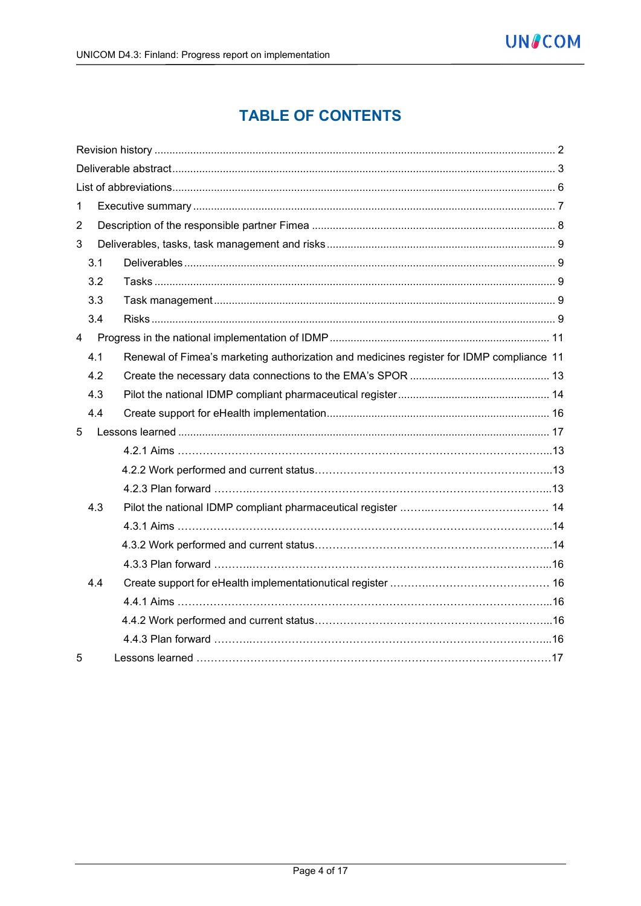# **TABLE OF CONTENTS**

| $\mathbf{1}$   |     |                                                                                          |
|----------------|-----|------------------------------------------------------------------------------------------|
| $\overline{2}$ |     |                                                                                          |
| 3              |     |                                                                                          |
|                | 3.1 |                                                                                          |
|                | 3.2 |                                                                                          |
|                | 3.3 |                                                                                          |
|                | 3.4 |                                                                                          |
| $\overline{4}$ |     |                                                                                          |
|                | 4.1 | Renewal of Fimea's marketing authorization and medicines register for IDMP compliance 11 |
|                | 4.2 |                                                                                          |
|                | 4.3 |                                                                                          |
|                | 4.4 |                                                                                          |
| 5              |     |                                                                                          |
|                |     |                                                                                          |
|                |     |                                                                                          |
|                |     |                                                                                          |
|                | 4.3 |                                                                                          |
|                |     |                                                                                          |
|                |     |                                                                                          |
|                |     |                                                                                          |
|                | 4.4 |                                                                                          |
|                |     |                                                                                          |
|                |     |                                                                                          |
|                |     |                                                                                          |
| 5              |     |                                                                                          |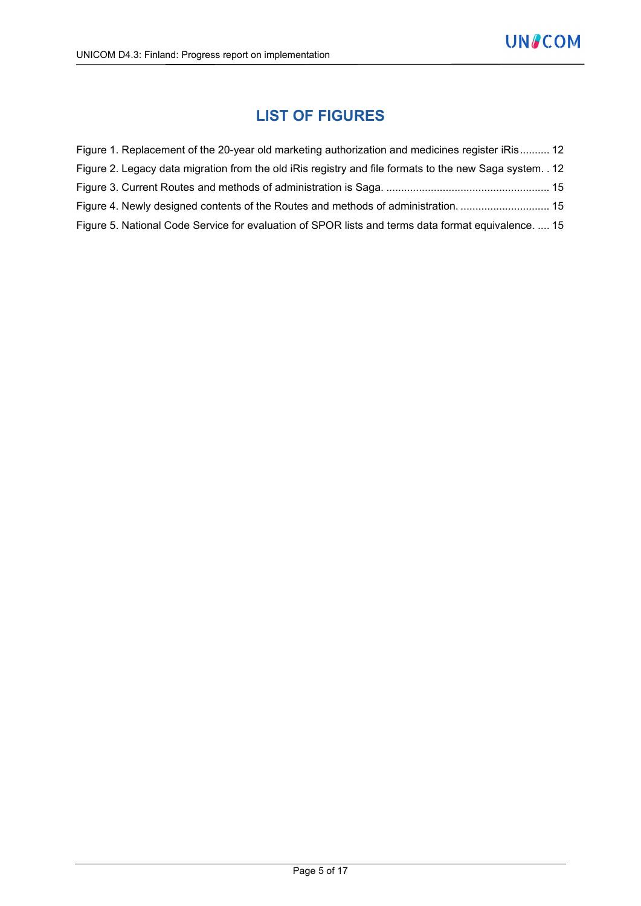# **LIST OF FIGURES**

| Figure 1. Replacement of the 20-year old marketing authorization and medicines register iRis 12          |  |
|----------------------------------------------------------------------------------------------------------|--|
| Figure 2. Legacy data migration from the old iRis registry and file formats to the new Saga system. . 12 |  |
|                                                                                                          |  |
| Figure 4. Newly designed contents of the Routes and methods of administration.  15                       |  |
| Figure 5. National Code Service for evaluation of SPOR lists and terms data format equivalence.  15      |  |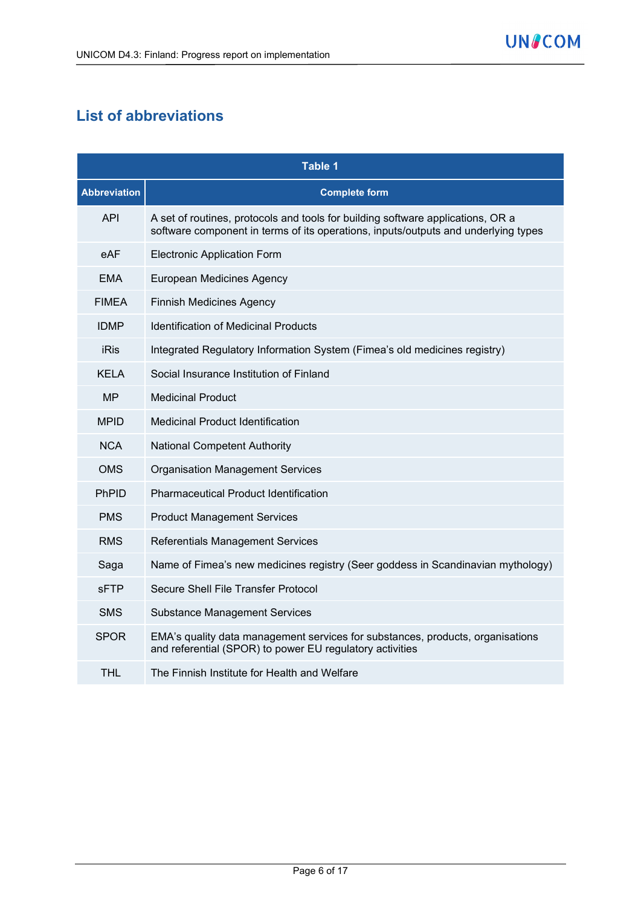# **List of abbreviations**

|                     | Table 1                                                                                                                                                               |  |  |
|---------------------|-----------------------------------------------------------------------------------------------------------------------------------------------------------------------|--|--|
| <b>Abbreviation</b> | <b>Complete form</b>                                                                                                                                                  |  |  |
| <b>API</b>          | A set of routines, protocols and tools for building software applications, OR a<br>software component in terms of its operations, inputs/outputs and underlying types |  |  |
| eAF                 | <b>Electronic Application Form</b>                                                                                                                                    |  |  |
| <b>EMA</b>          | European Medicines Agency                                                                                                                                             |  |  |
| <b>FIMEA</b>        | <b>Finnish Medicines Agency</b>                                                                                                                                       |  |  |
| <b>IDMP</b>         | <b>Identification of Medicinal Products</b>                                                                                                                           |  |  |
| <b>iRis</b>         | Integrated Regulatory Information System (Fimea's old medicines registry)                                                                                             |  |  |
| <b>KELA</b>         | Social Insurance Institution of Finland                                                                                                                               |  |  |
| <b>MP</b>           | <b>Medicinal Product</b>                                                                                                                                              |  |  |
| <b>MPID</b>         | Medicinal Product Identification                                                                                                                                      |  |  |
| <b>NCA</b>          | <b>National Competent Authority</b>                                                                                                                                   |  |  |
| <b>OMS</b>          | <b>Organisation Management Services</b>                                                                                                                               |  |  |
| PhPID               | <b>Pharmaceutical Product Identification</b>                                                                                                                          |  |  |
| <b>PMS</b>          | <b>Product Management Services</b>                                                                                                                                    |  |  |
| <b>RMS</b>          | <b>Referentials Management Services</b>                                                                                                                               |  |  |
| Saga                | Name of Fimea's new medicines registry (Seer goddess in Scandinavian mythology)                                                                                       |  |  |
| <b>sFTP</b>         | Secure Shell File Transfer Protocol                                                                                                                                   |  |  |
| <b>SMS</b>          | <b>Substance Management Services</b>                                                                                                                                  |  |  |
| <b>SPOR</b>         | EMA's quality data management services for substances, products, organisations<br>and referential (SPOR) to power EU regulatory activities                            |  |  |
| THL                 | The Finnish Institute for Health and Welfare                                                                                                                          |  |  |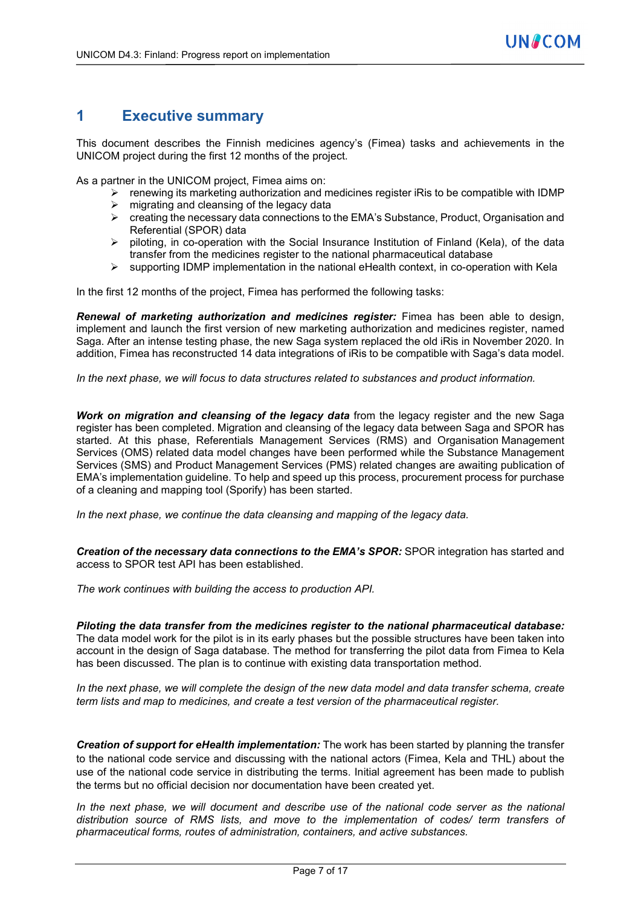## **1 Executive summary**

This document describes the Finnish medicines agency's (Fimea) tasks and achievements in the UNICOM project during the first 12 months of the project.

As a partner in the UNICOM project, Fimea aims on:

- $\triangleright$  renewing its marketing authorization and medicines register iRis to be compatible with IDMP  $\triangleright$  migrating and cleansing of the legacy data
- creating the necessary data connections to the EMA's Substance, Product, Organisation and Referential (SPOR) data
- $\triangleright$  piloting, in co-operation with the Social Insurance Institution of Finland (Kela), of the data transfer from the medicines register to the national pharmaceutical database
- $\triangleright$  supporting IDMP implementation in the national eHealth context, in co-operation with Kela

In the first 12 months of the project, Fimea has performed the following tasks:

*Renewal of marketing authorization and medicines register:* Fimea has been able to design, implement and launch the first version of new marketing authorization and medicines register, named Saga. After an intense testing phase, the new Saga system replaced the old iRis in November 2020. In addition, Fimea has reconstructed 14 data integrations of iRis to be compatible with Saga's data model.

*In the next phase, we will focus to data structures related to substances and product information.*

*Work on migration and cleansing of the legacy data* from the legacy register and the new Saga register has been completed. Migration and cleansing of the legacy data between Saga and SPOR has started. At this phase, Referentials Management Services (RMS) and Organisation Management Services (OMS) related data model changes have been performed while the Substance Management Services (SMS) and Product Management Services (PMS) related changes are awaiting publication of EMA's implementation guideline. To help and speed up this process, procurement process for purchase of a cleaning and mapping tool (Sporify) has been started.

*In the next phase, we continue the data cleansing and mapping of the legacy data.*

*Creation of the necessary data connections to the EMA's SPOR:* SPOR integration has started and access to SPOR test API has been established.

*The work continues with building the access to production API.*

*Piloting the data transfer from the medicines register to the national pharmaceutical database:*  The data model work for the pilot is in its early phases but the possible structures have been taken into account in the design of Saga database. The method for transferring the pilot data from Fimea to Kela has been discussed. The plan is to continue with existing data transportation method.

*In the next phase, we will complete the design of the new data model and data transfer schema, create term lists and map to medicines, and create a test version of the pharmaceutical register.*

*Creation of support for eHealth implementation:* The work has been started by planning the transfer to the national code service and discussing with the national actors (Fimea, Kela and THL) about the use of the national code service in distributing the terms. Initial agreement has been made to publish the terms but no official decision nor documentation have been created yet.

In the next phase, we will document and describe use of the national code server as the national *distribution source of RMS lists, and move to the implementation of codes/ term transfers of pharmaceutical forms, routes of administration, containers, and active substances.*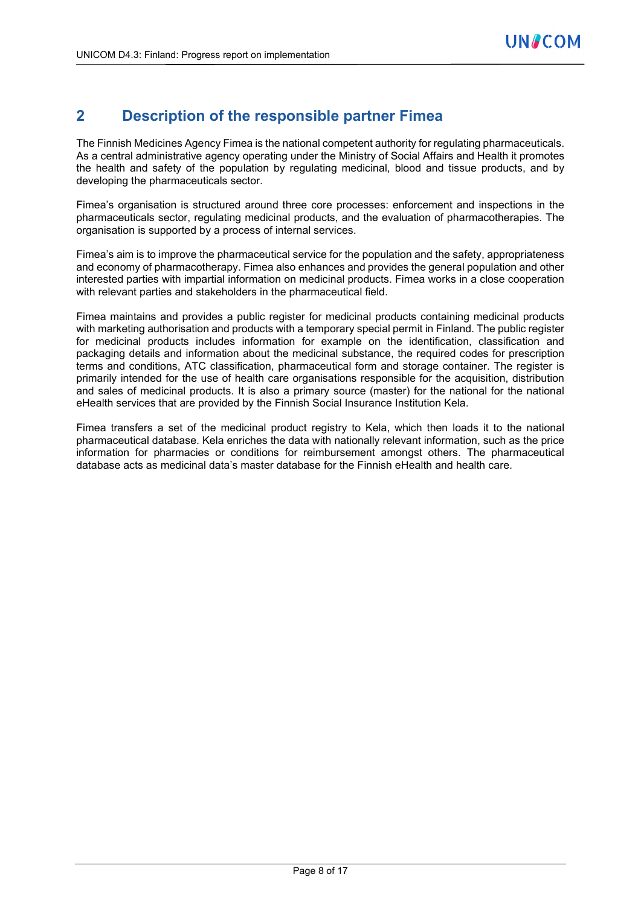# **2 Description of the responsible partner Fimea**

The Finnish Medicines Agency Fimea is the national competent authority for regulating pharmaceuticals. As a central administrative agency operating under the Ministry of Social Affairs and Health it promotes the health and safety of the population by regulating medicinal, blood and tissue products, and by developing the pharmaceuticals sector.

Fimea's organisation is structured around three core processes: enforcement and inspections in the pharmaceuticals sector, regulating medicinal products, and the evaluation of pharmacotherapies. The organisation is supported by a process of internal services.

Fimea's aim is to improve the pharmaceutical service for the population and the safety, appropriateness and economy of pharmacotherapy. Fimea also enhances and provides the general population and other interested parties with impartial information on medicinal products. Fimea works in a close cooperation with relevant parties and stakeholders in the pharmaceutical field.

Fimea maintains and provides a public register for medicinal products containing medicinal products with marketing authorisation and products with a temporary special permit in Finland. The public register for medicinal products includes information for example on the identification, classification and packaging details and information about the medicinal substance, the required codes for prescription terms and conditions, ATC classification, pharmaceutical form and storage container. The register is primarily intended for the use of health care organisations responsible for the acquisition, distribution and sales of medicinal products. It is also a primary source (master) for the national for the national eHealth services that are provided by the Finnish Social Insurance Institution Kela.

Fimea transfers a set of the medicinal product registry to Kela, which then loads it to the national pharmaceutical database. Kela enriches the data with nationally relevant information, such as the price information for pharmacies or conditions for reimbursement amongst others. The pharmaceutical database acts as medicinal data's master database for the Finnish eHealth and health care.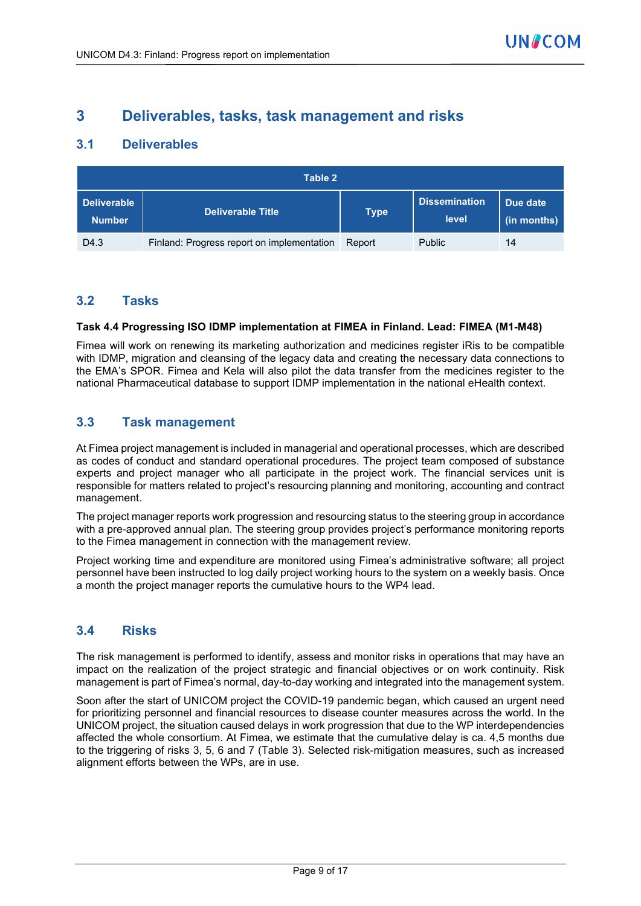## **3 Deliverables, tasks, task management and risks**

## **3.1 Deliverables**

|                                     | Table 2                                    |             |                               |                         |  |
|-------------------------------------|--------------------------------------------|-------------|-------------------------------|-------------------------|--|
| <b>Deliverable</b><br><b>Number</b> | <b>Deliverable Title</b>                   | <b>Type</b> | <b>Dissemination</b><br>level | Due date<br>(in months) |  |
| D <sub>4.3</sub>                    | Finland: Progress report on implementation | Report      | <b>Public</b>                 | 14                      |  |

## **3.2 Tasks**

#### **Task 4.4 Progressing ISO IDMP implementation at FIMEA in Finland. Lead: FIMEA (M1-M48)**

Fimea will work on renewing its marketing authorization and medicines register iRis to be compatible with IDMP, migration and cleansing of the legacy data and creating the necessary data connections to the EMA's SPOR. Fimea and Kela will also pilot the data transfer from the medicines register to the national Pharmaceutical database to support IDMP implementation in the national eHealth context.

## **3.3 Task management**

At Fimea project management is included in managerial and operational processes, which are described as codes of conduct and standard operational procedures. The project team composed of substance experts and project manager who all participate in the project work. The financial services unit is responsible for matters related to project's resourcing planning and monitoring, accounting and contract management.

The project manager reports work progression and resourcing status to the steering group in accordance with a pre-approved annual plan. The steering group provides project's performance monitoring reports to the Fimea management in connection with the management review.

Project working time and expenditure are monitored using Fimea's administrative software; all project personnel have been instructed to log daily project working hours to the system on a weekly basis. Once a month the project manager reports the cumulative hours to the WP4 lead.

### **3.4 Risks**

The risk management is performed to identify, assess and monitor risks in operations that may have an impact on the realization of the project strategic and financial objectives or on work continuity. Risk management is part of Fimea's normal, day-to-day working and integrated into the management system.

Soon after the start of UNICOM project the COVID-19 pandemic began, which caused an urgent need for prioritizing personnel and financial resources to disease counter measures across the world. In the UNICOM project, the situation caused delays in work progression that due to the WP interdependencies affected the whole consortium. At Fimea, we estimate that the cumulative delay is ca. 4,5 months due to the triggering of risks 3, 5, 6 and 7 (Table 3). Selected risk-mitigation measures, such as increased alignment efforts between the WPs, are in use.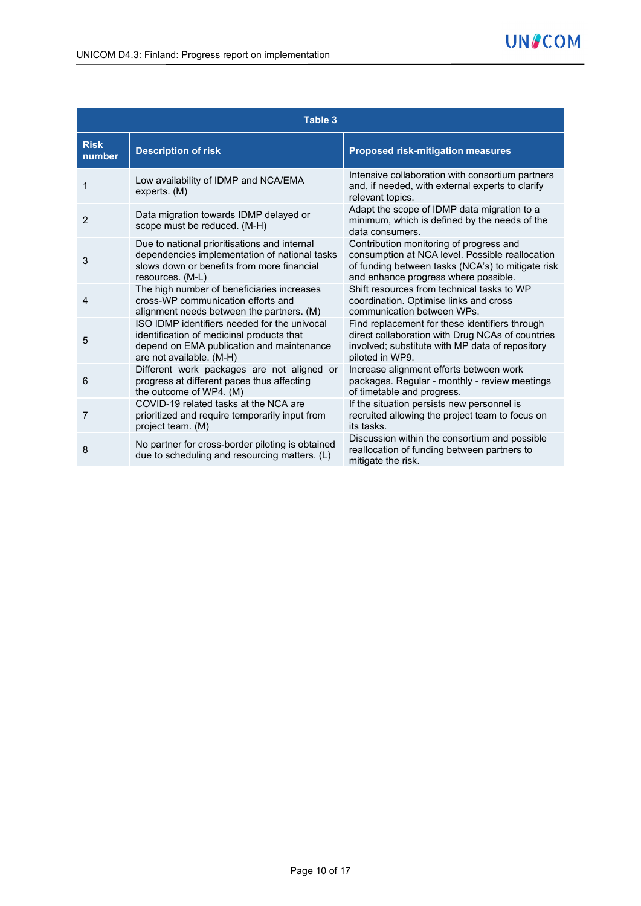|                       | Table 3                                                                                                                                                            |                                                                                                                                                                                         |
|-----------------------|--------------------------------------------------------------------------------------------------------------------------------------------------------------------|-----------------------------------------------------------------------------------------------------------------------------------------------------------------------------------------|
| <b>Risk</b><br>number | <b>Description of risk</b>                                                                                                                                         | <b>Proposed risk-mitigation measures</b>                                                                                                                                                |
| 1                     | Low availability of IDMP and NCA/EMA<br>experts. (M)                                                                                                               | Intensive collaboration with consortium partners<br>and, if needed, with external experts to clarify<br>relevant topics.                                                                |
| $\overline{2}$        | Data migration towards IDMP delayed or<br>scope must be reduced. (M-H)                                                                                             | Adapt the scope of IDMP data migration to a<br>minimum, which is defined by the needs of the<br>data consumers.                                                                         |
| 3                     | Due to national prioritisations and internal<br>dependencies implementation of national tasks<br>slows down or benefits from more financial<br>resources. (M-L)    | Contribution monitoring of progress and<br>consumption at NCA level. Possible reallocation<br>of funding between tasks (NCA's) to mitigate risk<br>and enhance progress where possible. |
| 4                     | The high number of beneficiaries increases<br>cross-WP communication efforts and<br>alignment needs between the partners. (M)                                      | Shift resources from technical tasks to WP<br>coordination. Optimise links and cross<br>communication between WPs.                                                                      |
| 5                     | ISO IDMP identifiers needed for the univocal<br>identification of medicinal products that<br>depend on EMA publication and maintenance<br>are not available. (M-H) | Find replacement for these identifiers through<br>direct collaboration with Drug NCAs of countries<br>involved; substitute with MP data of repository<br>piloted in WP9.                |
| 6                     | Different work packages are not aligned or<br>progress at different paces thus affecting<br>the outcome of WP4. (M)                                                | Increase alignment efforts between work<br>packages. Regular - monthly - review meetings<br>of timetable and progress.                                                                  |
| 7                     | COVID-19 related tasks at the NCA are<br>prioritized and require temporarily input from<br>project team. (M)                                                       | If the situation persists new personnel is<br>recruited allowing the project team to focus on<br>its tasks.                                                                             |
| 8                     | No partner for cross-border piloting is obtained<br>due to scheduling and resourcing matters. (L)                                                                  | Discussion within the consortium and possible<br>reallocation of funding between partners to<br>mitigate the risk.                                                                      |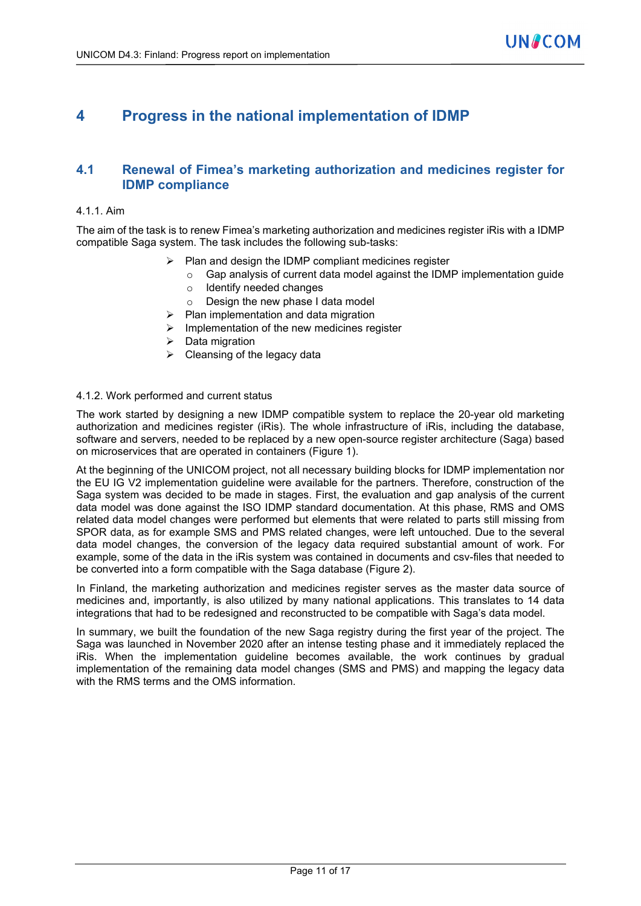# **4 Progress in the national implementation of IDMP**

### **4.1 Renewal of Fimea's marketing authorization and medicines register for IDMP compliance**

#### 4.1.1. Aim

The aim of the task is to renew Fimea's marketing authorization and medicines register iRis with a IDMP compatible Saga system. The task includes the following sub-tasks:

- $\triangleright$  Plan and design the IDMP compliant medicines register
	- Gap analysis of current data model against the IDMP implementation guide
	- o Identify needed changes
	- o Design the new phase I data model
- $\triangleright$  Plan implementation and data migration
- $\triangleright$  Implementation of the new medicines register
- $\triangleright$  Data migration
- $\triangleright$  Cleansing of the legacy data

#### 4.1.2. Work performed and current status

The work started by designing a new IDMP compatible system to replace the 20-year old marketing authorization and medicines register (iRis). The whole infrastructure of iRis, including the database, software and servers, needed to be replaced by a new open-source register architecture (Saga) based on microservices that are operated in containers (Figure 1).

At the beginning of the UNICOM project, not all necessary building blocks for IDMP implementation nor the EU IG V2 implementation guideline were available for the partners. Therefore, construction of the Saga system was decided to be made in stages. First, the evaluation and gap analysis of the current data model was done against the ISO IDMP standard documentation. At this phase, RMS and OMS related data model changes were performed but elements that were related to parts still missing from SPOR data, as for example SMS and PMS related changes, were left untouched. Due to the several data model changes, the conversion of the legacy data required substantial amount of work. For example, some of the data in the iRis system was contained in documents and csv-files that needed to be converted into a form compatible with the Saga database [\(Figure 2\)](#page-11-0).

In Finland, the marketing authorization and medicines register serves as the master data source of medicines and, importantly, is also utilized by many national applications. This translates to 14 data integrations that had to be redesigned and reconstructed to be compatible with Saga's data model.

In summary, we built the foundation of the new Saga registry during the first year of the project. The Saga was launched in November 2020 after an intense testing phase and it immediately replaced the iRis. When the implementation guideline becomes available, the work continues by gradual implementation of the remaining data model changes (SMS and PMS) and mapping the legacy data with the RMS terms and the OMS information.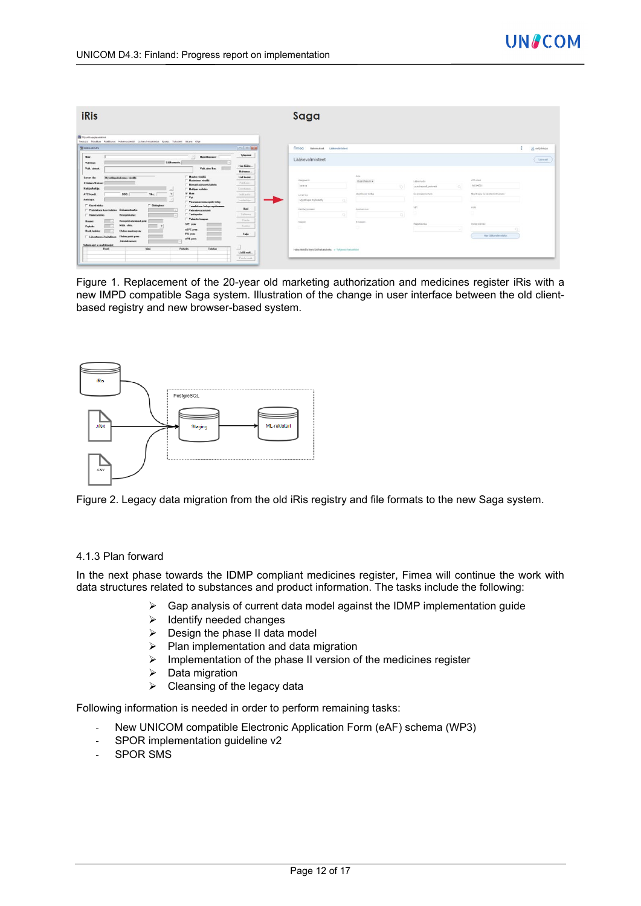| Myymlupajayastalma                                                                                                                                                                                                                                                                  |                                                                                                                                                                                                                                                                                                                                                                                                                                                                                                                                                                                    |                                                                                                                                                                         |                                                                |
|-------------------------------------------------------------------------------------------------------------------------------------------------------------------------------------------------------------------------------------------------------------------------------------|------------------------------------------------------------------------------------------------------------------------------------------------------------------------------------------------------------------------------------------------------------------------------------------------------------------------------------------------------------------------------------------------------------------------------------------------------------------------------------------------------------------------------------------------------------------------------------|-------------------------------------------------------------------------------------------------------------------------------------------------------------------------|----------------------------------------------------------------|
| Tiedosto Muokkaa Pääkkunat Hakemustiedot Lääkevalmistetiedot Kyselyt Tulosteet Ikkuna Ohje<br><b>III</b> Listovalmiste                                                                                                                                                              | <b>Ford of Bride</b>                                                                                                                                                                                                                                                                                                                                                                                                                                                                                                                                                               | <b>Firnoa</b><br>HabaresRoot Littleralvisland                                                                                                                           | & extraorus                                                    |
| Nine:<br>Nyyntheaner.<br>- 21<br>Lithemusts:<br>Valveuse<br><b>College</b><br>Valk aine lion:<br>Valk, aineet                                                                                                                                                                       | Tyhjenni<br>Has lasks<br>Hakemus.                                                                                                                                                                                                                                                                                                                                                                                                                                                                                                                                                  | Lääkevalmisteet                                                                                                                                                         | Loo must                                                       |
| <b>Mundan visualla</b><br>Myantikapahakeunsa viseillä<br>Luvan Ha<br>Universe visella<br>EUsdrea/Rokner<br>Flinnakkaistunnisfakelu<br>Hakijs/haltijs:<br>Haltian validat<br>$=$<br><b>D</b> Hun<br>ppp:<br>ATC-kood:<br>Yks:<br>$-$ Vet<br>Antotapa:                                | <b><i><u>STARTINGSTONE</u></i></b><br><b>Hall tiedet</b><br>mententermente<br>Publishers.<br>------<br>Keinbinsen.<br><b>MONECHER</b><br>Indianin.<br><b>ANGERSHARE</b><br>Listhiston,                                                                                                                                                                                                                                                                                                                                                                                             | Alte<br>Kauppenn<br>thustoferum #<br>Liliamatto<br>buara<br>ा<br>punkapsek peluwat<br>MontEuran hattig<br>Elizabethistura<br>Live's life<br>-0.<br>Myrrillupa myönnetty | ATC-icod<br>MOLAFOT<br>o.<br>Mentilsga- tal ratistaröndisunano |
| Viranonaistoinergide tehty<br>F Karvitchdar<br>F Biologinen<br>T Tombolaan fertois methomain<br>Perinteinen kasvisakdes Dokumentaatie:<br>Velvoitevarastointi<br>T Tunteperhe<br><b>Homeo/antro</b><br>Reseptistatus:<br>Valentin kaupun<br>Reseptistatosmout.pvm:<br><b>Husser</b> | distances in the contract of<br>Uusi<br>$\frac{1}{2} \left( \frac{1}{2} \right) \left( \frac{1}{2} \right) \left( \frac{1}{2} \right) \left( \frac{1}{2} \right) \left( \frac{1}{2} \right) \left( \frac{1}{2} \right) \left( \frac{1}{2} \right) \left( \frac{1}{2} \right) \left( \frac{1}{2} \right) \left( \frac{1}{2} \right) \left( \frac{1}{2} \right) \left( \frac{1}{2} \right) \left( \frac{1}{2} \right) \left( \frac{1}{2} \right) \left( \frac{1}{2} \right) \left( \frac{1}{2} \right) \left( \frac$<br>Talkees.<br>and the property of the local<br>Paida.<br>----- | VET<br>Kasitelyprocessi<br>Supmers room<br>$\alpha$<br>$Q_1$<br>Kaupas.<br>Eliosapen<br>Reportates                                                                      | HIM.<br>u                                                      |
| <b>SPC</b> pyes:<br>Määr, ehter<br>Papkate:<br>aSPC pvm<br>Rask Juskka:<br><b>Elvion</b> mustaspym:<br>PIL pvn:<br>Liberteezzi hatalinen Ehden poist pvm<br>eFIL pyer<br><b>Jakobskonova</b><br>Volusiated in morkkinssor.                                                          | <b>Cassing</b><br>-----<br>Sulje<br><b>STATISTICS</b>                                                                                                                                                                                                                                                                                                                                                                                                                                                                                                                              | $\circ$<br>o                                                                                                                                                            | Kohda-alámszi<br>$\sim$<br>Har Hildercolmisists                |

Figure 1. Replacement of the 20-year old marketing authorization and medicines register iRis with a new IMPD compatible Saga system. Illustration of the change in user interface between the old clientbased registry and new browser-based system.



<span id="page-11-0"></span>Figure 2. Legacy data migration from the old iRis registry and file formats to the new Saga system.

#### 4.1.3 Plan forward

In the next phase towards the IDMP compliant medicines register, Fimea will continue the work with data structures related to substances and product information. The tasks include the following:

- $\triangleright$  Gap analysis of current data model against the IDMP implementation guide
- $\triangleright$  Identify needed changes
- $\triangleright$  Design the phase II data model
- $\triangleright$  Plan implementation and data migration
- $\triangleright$  Implementation of the phase II version of the medicines register
- $\triangleright$  Data migration
- $\triangleright$  Cleansing of the legacy data

Following information is needed in order to perform remaining tasks:

- New UNICOM compatible Electronic Application Form (eAF) schema (WP3)
- SPOR implementation guideline v2
- SPOR SMS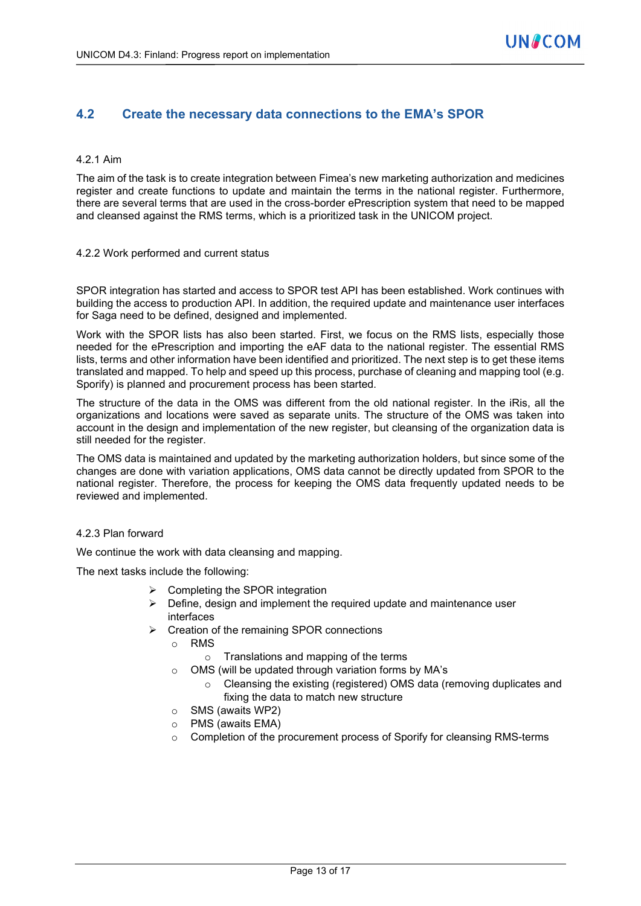### **4.2 Create the necessary data connections to the EMA's SPOR**

#### 4.2.1 Aim

The aim of the task is to create integration between Fimea's new marketing authorization and medicines register and create functions to update and maintain the terms in the national register. Furthermore, there are several terms that are used in the cross-border ePrescription system that need to be mapped and cleansed against the RMS terms, which is a prioritized task in the UNICOM project.

#### 4.2.2 Work performed and current status

SPOR integration has started and access to SPOR test API has been established. Work continues with building the access to production API. In addition, the required update and maintenance user interfaces for Saga need to be defined, designed and implemented.

Work with the SPOR lists has also been started. First, we focus on the RMS lists, especially those needed for the ePrescription and importing the eAF data to the national register. The essential RMS lists, terms and other information have been identified and prioritized. The next step is to get these items translated and mapped. To help and speed up this process, purchase of cleaning and mapping tool (e.g. Sporify) is planned and procurement process has been started.

The structure of the data in the OMS was different from the old national register. In the iRis, all the organizations and locations were saved as separate units. The structure of the OMS was taken into account in the design and implementation of the new register, but cleansing of the organization data is still needed for the register.

The OMS data is maintained and updated by the marketing authorization holders, but since some of the changes are done with variation applications, OMS data cannot be directly updated from SPOR to the national register. Therefore, the process for keeping the OMS data frequently updated needs to be reviewed and implemented.

#### 4.2.3 Plan forward

We continue the work with data cleansing and mapping.

The next tasks include the following:

- $\triangleright$  Completing the SPOR integration
- $\triangleright$  Define, design and implement the required update and maintenance user interfaces
- $\triangleright$  Creation of the remaining SPOR connections
	- o RMS
		- o Translations and mapping of the terms
	- o OMS (will be updated through variation forms by MA's
		- o Cleansing the existing (registered) OMS data (removing duplicates and fixing the data to match new structure
	- o SMS (awaits WP2)
	- PMS (awaits EMA)
	- $\circ$  Completion of the procurement process of Sporify for cleansing RMS-terms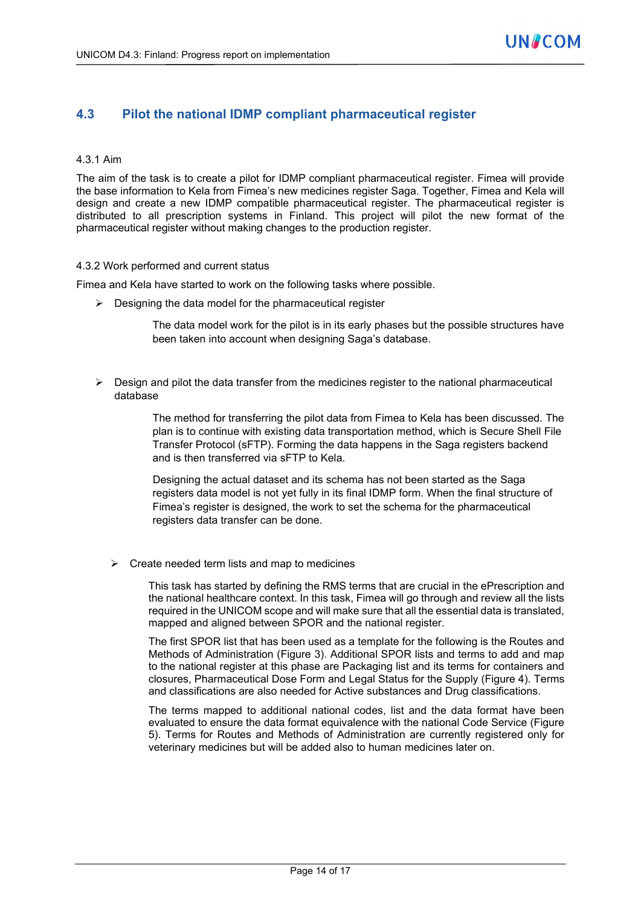## **4.3 Pilot the national IDMP compliant pharmaceutical register**

#### 4.3.1 Aim

The aim of the task is to create a pilot for IDMP compliant pharmaceutical register. Fimea will provide the base information to Kela from Fimea's new medicines register Saga. Together, Fimea and Kela will design and create a new IDMP compatible pharmaceutical register. The pharmaceutical register is distributed to all prescription systems in Finland. This project will pilot the new format of the pharmaceutical register without making changes to the production register.

#### 4.3.2 Work performed and current status

Fimea and Kela have started to work on the following tasks where possible.

 $\triangleright$  Designing the data model for the pharmaceutical register

The data model work for the pilot is in its early phases but the possible structures have been taken into account when designing Saga's database.

 $\triangleright$  Design and pilot the data transfer from the medicines register to the national pharmaceutical database

> The method for transferring the pilot data from Fimea to Kela has been discussed. The plan is to continue with existing data transportation method, which is Secure Shell File Transfer Protocol (sFTP). Forming the data happens in the Saga registers backend and is then transferred via sFTP to Kela.

Designing the actual dataset and its schema has not been started as the Saga registers data model is not yet fully in its final IDMP form. When the final structure of Fimea's register is designed, the work to set the schema for the pharmaceutical registers data transfer can be done.

 $\triangleright$  Create needed term lists and map to medicines

This task has started by defining the RMS terms that are crucial in the ePrescription and the national healthcare context. In this task, Fimea will go through and review all the lists required in the UNICOM scope and will make sure that all the essential data is translated, mapped and aligned between SPOR and the national register.

The first SPOR list that has been used as a template for the following is the Routes and Methods of Administration (Figure 3). Additional SPOR lists and terms to add and map to the national register at this phase are Packaging list and its terms for containers and closures, Pharmaceutical Dose Form and Legal Status for the Supply (Figure 4). Terms and classifications are also needed for Active substances and Drug classifications.

The terms mapped to additional national codes, list and the data format have been evaluated to ensure the data format equivalence with the national Code Service (Figure 5). Terms for Routes and Methods of Administration are currently registered only for veterinary medicines but will be added also to human medicines later on.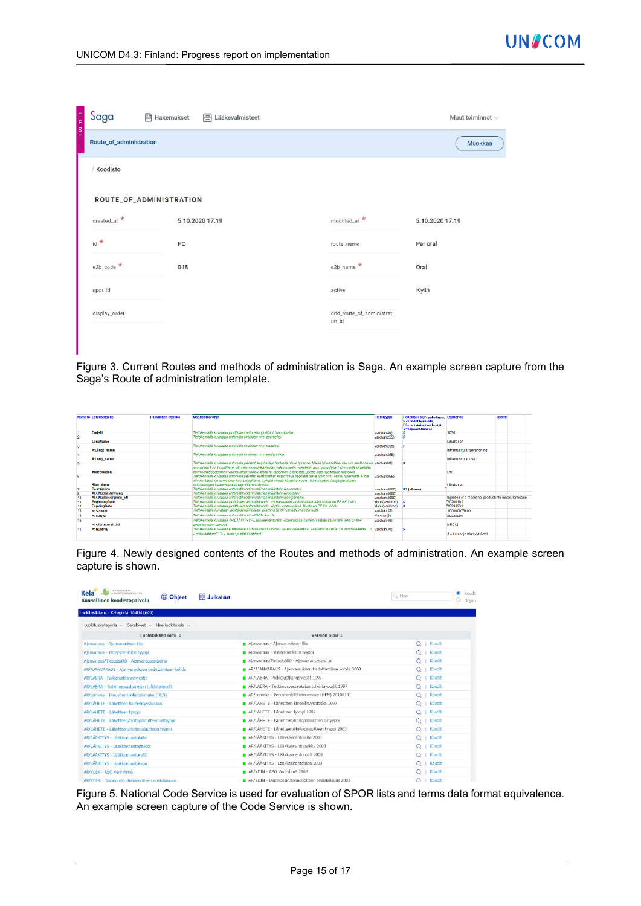| T<br>E<br>S<br>T | Saga<br>Route_of_administration<br>/ Koodisto<br>ROUTE_OF_ADMINISTRATION<br>$\text{created\_at} \star$<br>PO<br>$e2b\_{code}$<br>048 | <b>同 Hakemukset</b> | 금 Lääkevalmisteet |                                    | Muut toiminnot v |
|------------------|--------------------------------------------------------------------------------------------------------------------------------------|---------------------|-------------------|------------------------------------|------------------|
| J.               |                                                                                                                                      |                     |                   |                                    | Muokkaa          |
|                  |                                                                                                                                      |                     |                   |                                    |                  |
|                  |                                                                                                                                      |                     |                   |                                    |                  |
|                  |                                                                                                                                      |                     | 5.10.2020 17.19   | modified_at *                      | 5.10.2020 17.19  |
|                  | $id *$                                                                                                                               |                     |                   | route_name                         | Per oral         |
|                  |                                                                                                                                      |                     |                   | $e2b$ _name $\star$                | Oral             |
|                  | spor_id                                                                                                                              |                     |                   | active                             | Kyllä            |
|                  | display_order                                                                                                                        |                     |                   | ddd_route_of_administrati<br>on_id |                  |
|                  |                                                                                                                                      |                     |                   |                                    |                  |

Figure 3. Current Routes and methods of administration is Saga. An example screen capture from the Saga's Route of administration template.

|          | Numero Latausotsake         | Paikallinen otsikko | <b>Maaritelma/Ohie</b>                                                                                                                | <b>Tietotyyppi</b> | Pakollisuus (P=pakollinen, Esimerkki<br>P2=tiedot huuä olla. |                                                        | <b>Huom!</b> |
|----------|-----------------------------|---------------------|---------------------------------------------------------------------------------------------------------------------------------------|--------------------|--------------------------------------------------------------|--------------------------------------------------------|--------------|
|          |                             |                     |                                                                                                                                       |                    | P3-ruotsinkieliset kentät.                                   |                                                        |              |
|          |                             |                     |                                                                                                                                       |                    | V=vapaaehtoinen)                                             |                                                        |              |
|          | Codeld                      |                     | Tietokentällä kuvataan yksittäisen antoreitin yksilöinti tunnuksella.                                                                 | varchar(40)        | D                                                            | 1036                                                   |              |
|          |                             |                     | Tietokentällä kuvataan antoreitin virallinen nimi suomeksi.                                                                           | varchar(255)       | n                                                            |                                                        |              |
|          | LongName                    |                     |                                                                                                                                       |                    |                                                              | Lihakseen                                              |              |
|          |                             |                     | Tietokentällä kuvataan antoreitin virallinen nimi ruotsiksi                                                                           | varchar(255)       | D                                                            |                                                        |              |
|          | A:Langt namn                |                     |                                                                                                                                       |                    |                                                              | Intramuskulär användning                               |              |
|          |                             |                     | Tietokentällä kuvataan antoreitin virallinen nimi englanniksi.                                                                        | varchan(255)       |                                                              |                                                        |              |
|          | A:Long name                 |                     |                                                                                                                                       |                    |                                                              | Intramuscular use                                      |              |
|          |                             |                     | Tietokentällä kuvataan antoreitin vleisesti käytössä ja tiedossa oleva lyhenne. Mikäli lyhennettä ei ole niin kentässä on varchar(60) |                    |                                                              |                                                        |              |
|          |                             |                     | sama tieto kuin LongName. Nimeämisessä käytetään vakiintuneita lyhenteitä, jos mahdollista. Lyhennettä käytetään                      |                    |                                                              |                                                        |              |
|          | <b>Abbreviation</b>         |                     | esim tietojärjestelmien valintalistojen listauksissa tai raporttien otsikoissa, joissa tilaa rajoitetuisti käytössä.                  |                    |                                                              | i.m                                                    |              |
|          |                             |                     | Tietokentällä kuvataan antoreitin vleisesti kansallisesti käytössä ja tiedossa oleva lyhyt nimi. Mikäli lyhennettä ei ole             | varchar(255)       |                                                              |                                                        |              |
|          |                             |                     | niin kentässä on sama tieto kuin LongName. Lyhyttä nimeä käytetään esim. lääkehoidon tietojärjestelmien                               |                    |                                                              |                                                        |              |
|          | <b>ShortName</b>            |                     | valintalistojen listauksissa tai raporttien otsikoissa.                                                                               |                    |                                                              | Lihakseen                                              |              |
|          | <b>Description</b>          |                     | Tietokentällä kuvataan antoreittikoodin virallinen määritelmä suomeksi.                                                               | varchar(4000)      | P <sub>2</sub> (alkuun)                                      |                                                        |              |
| <b>s</b> | <b>ALONG:Beskrivning</b>    |                     | Tietokentällä kuvataan antoreittikoodin virallinen määritelmä ruotsiksi.                                                              | varchar(4000)      |                                                              |                                                        |              |
| 10       | <b>ALONG:Description EN</b> |                     | Tietokentällä kuvataan antoreittikoodin virallinen määritelmä englanniksi.                                                            | varchar(4000)      |                                                              | Injection of a medicinal product into muscular tissue. |              |
| 11       | <b>BeginningDate</b>        |                     | Tietokentällä kuvataan vksittäisen antoreittikoodin voimassaolon aloituspäivämäärä.Muoto on PP.KK.VVVV.                               | date (www.kop)     | - 10                                                         | 20200101                                               |              |
| 12       | <b>ExpiringDate</b>         |                     | Tietokentällä kuvataan yksittäisen antoreittikoodin käytön lopetuspäivä. Muoto on PP.KK VVVV.                                         | date (www.kpp)     | <b>D</b>                                                     | 20991231                                               |              |
| 13       | <b>A: SPORID</b>            |                     | Tietokenttällä kuvataan vksittäisen antoreitin vksilöivä SPOR-järjestelmän tunniste.                                                  | varchar(12)        |                                                              | 100000073600                                           |              |
| 14       | A: EDOM                     |                     | Tietokentällä kuvataan antoreittikoodin EDOM-koodi                                                                                    | Varchar(8)         |                                                              | 20035000                                               |              |
| 15       |                             |                     | Tietokentällä kuvataan AR/LÄÄKITYS - Lääkkeenantoreitti -koodistossa käytetty vastaava tunniste, joka on MR-                          | varchar(40)        |                                                              |                                                        |              |
|          | A: OldAntoreittild          |                     | alkuinen esim MR026                                                                                                                   |                    |                                                              | <b>MR012</b>                                           |              |
| 16       | <b>A: HUM/VFT</b>           |                     | Tietokentällä kuvataan koskettaako antoreittikoodi ihmis- vai eläinlääkkeitä. Valintana voi olla "f = ihmislääkkeet", "2 varchar(30)  |                    | n                                                            |                                                        |              |
|          |                             |                     | = eläinlääkkeet". "3 = ihmis- ja eläinlääkkeet".                                                                                      |                    |                                                              | 3 = ihmis- ja eläinlääkkeet                            |              |
|          |                             |                     |                                                                                                                                       |                    |                                                              |                                                        |              |

Figure 4. Newly designed contents of the Routes and methods of administration. An example screen capture is shown.

| TERVEYORN JA<br><b>Kela</b><br><b>Ell Julkaisut</b><br>C Ohjeet<br>Kansallinen koodistopalvelu |                                                        | Q Hae                    | $\bullet$ Koodit<br>$\circ$<br>Organi |
|------------------------------------------------------------------------------------------------|--------------------------------------------------------|--------------------------|---------------------------------------|
| Luokituslistaus - Kategoria: Kaikki (649)                                                      |                                                        |                          |                                       |
| Luokituskategoria v Sarakkeet v Hae luokituksia v                                              |                                                        |                          |                                       |
| Luokituksen nimi ÷                                                                             | Version nimi ±                                         |                          |                                       |
| Ajanvaraus - Ajanvarauksen tila                                                                | Ajanvaraus - Ajanvarauksen tila                        | Q   Koodit               |                                       |
| Ajanvaraus - Yhteyshenkilön tyyppi                                                             | Ajanvaraus - Yhteyshenkilön tyyppi                     | Koodit                   |                                       |
| Ajanvaraus/Tietosisältö - Ajanvarausasiakirja                                                  | Alanvaraus/Tietosisältö - Alanvarausaslakirla          | Koodit                   |                                       |
| AR/AJANVARAUS - Ajanvarauksen tiedottamisen kohde                                              | AR/AJANVARAUS - Alanvarauksen tiedottamisen kohde 2003 | $O$   Koodit             |                                       |
| AR/LABRA - Poikkeustilanneviestit                                                              | AR/LABRA - Poikkeustilanneviestit 1997                 | Q   Koodit               |                                       |
| AR/LABRA - Tutkimusvastauksien tulkintakoodit                                                  | AR/LABRA - Tutkimusvastauksien tulkintakoodit 1997     | Koodit                   |                                       |
| AR/Lomake - Perushenkilötietolomake (HEN)                                                      | AR/Lomake - Perushenkilötietolomake (HEN) 20100101     | Q   Koodit               |                                       |
| AR/LÄHETE - Lähetteen kiireellisyysluokka                                                      | AR/LÄHETE - Lähetteen kiireellisyysluokka 1997         | Q   Koodit               |                                       |
| AR/LÄHETE - Lähetteen tyyppi                                                                   | AR/LÄHETE - Lähetteen tyyppi 1997                      | $Q$   Koodit             |                                       |
| AR/LÄHETE - Lähetteen/holtopalautteen alltyyppi                                                | AR/LÄHETE - Lähetteen/hoitopalautteen alityyppi        | Koodit                   |                                       |
| AR/LÄHETE - Lähetteen/Holtopalautteen tyyppi                                                   | AR/LÄHETE - Lähetteen/Holtopalautteen tyyppi 2003      | Koodit                   |                                       |
| AR/LÄÄKITYS - Lääkkeenantolaite                                                                | AR/LÄÄKITYS - Lääkkeenantolaite 2003                   | Koodit                   |                                       |
| AR/LÄÄKITYS - Lääkkeenantopaikka                                                               | AR/LÄÄKITYS - Lääkkeenantopaikka 2003                  | Koodit<br>O <sub>1</sub> |                                       |
| AR/LÄÄKITYS - Lääkkeenantoreitti                                                               | AR/LÄÄKITYS - Lääkkeenantoreitti 2009                  | Koodit                   |                                       |
| AR/LÄÄKITYS - Lääkkeenantotapa                                                                 | AR/LÄÄKITYS - Lääkkeenantotapa 2003                    | Koodit                   |                                       |
| AR/YDIN - ABO Veriryhmä                                                                        | AR/YDIN - ABO Verirvhmä 2003                           | Q   Koodit               |                                       |
| AR/YDIN - Diagnoosin /toimenniteen ensisilaisuus                                               | AR/YDIN - Diagnoosin/toimenpiteen ensisitaisuus 2003   | $O \perp$ Koodit         |                                       |

Figure 5. National Code Service is used for evaluation of SPOR lists and terms data format equivalence. An example screen capture of the Code Service is shown.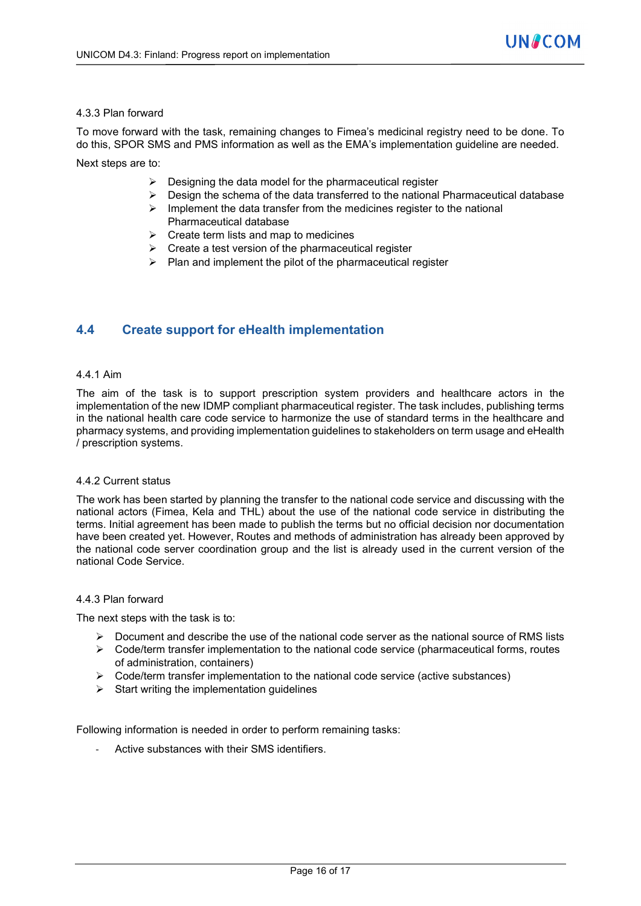#### 4.3.3 Plan forward

To move forward with the task, remaining changes to Fimea's medicinal registry need to be done. To do this, SPOR SMS and PMS information as well as the EMA's implementation guideline are needed.

Next steps are to:

- $\triangleright$  Designing the data model for the pharmaceutical register
- $\triangleright$  Design the schema of the data transferred to the national Pharmaceutical database
- $\triangleright$  Implement the data transfer from the medicines register to the national Pharmaceutical database
- $\triangleright$  Create term lists and map to medicines
- $\triangleright$  Create a test version of the pharmaceutical register
- $\triangleright$  Plan and implement the pilot of the pharmaceutical register

### **4.4 Create support for eHealth implementation**

#### 4.4.1 Aim

The aim of the task is to support prescription system providers and healthcare actors in the implementation of the new IDMP compliant pharmaceutical register. The task includes, publishing terms in the national health care code service to harmonize the use of standard terms in the healthcare and pharmacy systems, and providing implementation guidelines to stakeholders on term usage and eHealth / prescription systems.

#### 4.4.2 Current status

The work has been started by planning the transfer to the national code service and discussing with the national actors (Fimea, Kela and THL) about the use of the national code service in distributing the terms. Initial agreement has been made to publish the terms but no official decision nor documentation have been created yet. However, Routes and methods of administration has already been approved by the national code server coordination group and the list is already used in the current version of the national Code Service.

#### 4.4.3 Plan forward

The next steps with the task is to:

- $\triangleright$  Document and describe the use of the national code server as the national source of RMS lists
- $\triangleright$  Code/term transfer implementation to the national code service (pharmaceutical forms, routes of administration, containers)
- $\triangleright$  Code/term transfer implementation to the national code service (active substances)
- $\triangleright$  Start writing the implementation quidelines

Following information is needed in order to perform remaining tasks:

Active substances with their SMS identifiers.